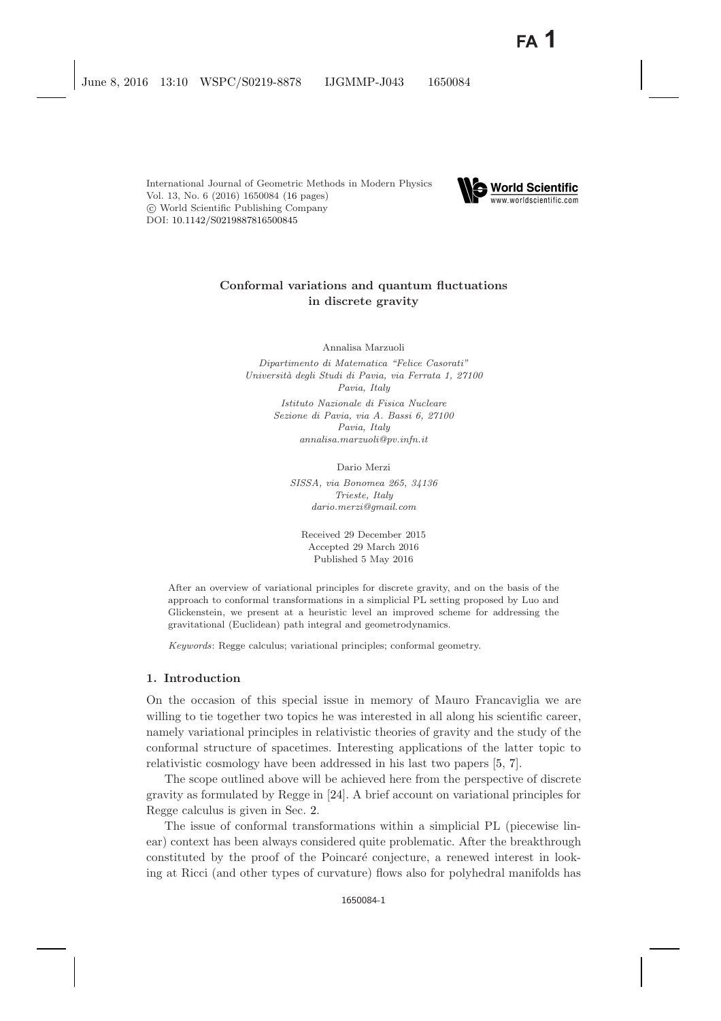

# **Conformal variations and quantum fluctuations in discrete gravity**

Annalisa Marzuoli

*Dipartimento di Matematica "Felice Casorati" Universit`a degli Studi di Pavia, via Ferrata 1, 27100 Pavia, Italy*

> *Istituto Nazionale di Fisica Nucleare Sezione di Pavia, via A. Bassi 6, 27100 Pavia, Italy annalisa.marzuoli@pv.infn.it*

> > Dario Merzi

*SISSA, via Bonomea 265, 34136 Trieste, Italy dario.merzi@gmail.com*

Received 29 December 2015 Accepted 29 March 2016 Published 5 May 2016

After an overview of variational principles for discrete gravity, and on the basis of the approach to conformal transformations in a simplicial PL setting proposed by Luo and Glickenstein, we present at a heuristic level an improved scheme for addressing the gravitational (Euclidean) path integral and geometrodynamics.

*Keywords*: Regge calculus; variational principles; conformal geometry.

### **1. Introduction**

On the occasion of this special issue in memory of Mauro Francaviglia we are willing to tie together two topics he was interested in all along his scientific career, namely variational principles in relativistic theories of gravity and the study of the conformal structure of spacetimes. Interesting applications of the latter topic to relativistic cosmology have been addressed in his last two papers [\[5,](#page-14-1) [7\]](#page-14-2).

The scope outlined above will be achieved here from the perspective of discrete gravity as formulated by Regge in [\[24\]](#page-15-0). A brief account on variational principles for Regge calculus is given in Sec. [2.](#page-1-0)

The issue of conformal transformations within a simplicial PL (piecewise linear) context has been always considered quite problematic. After the breakthrough constituted by the proof of the Poincaré conjecture, a renewed interest in looking at Ricci (and other types of curvature) flows also for polyhedral manifolds has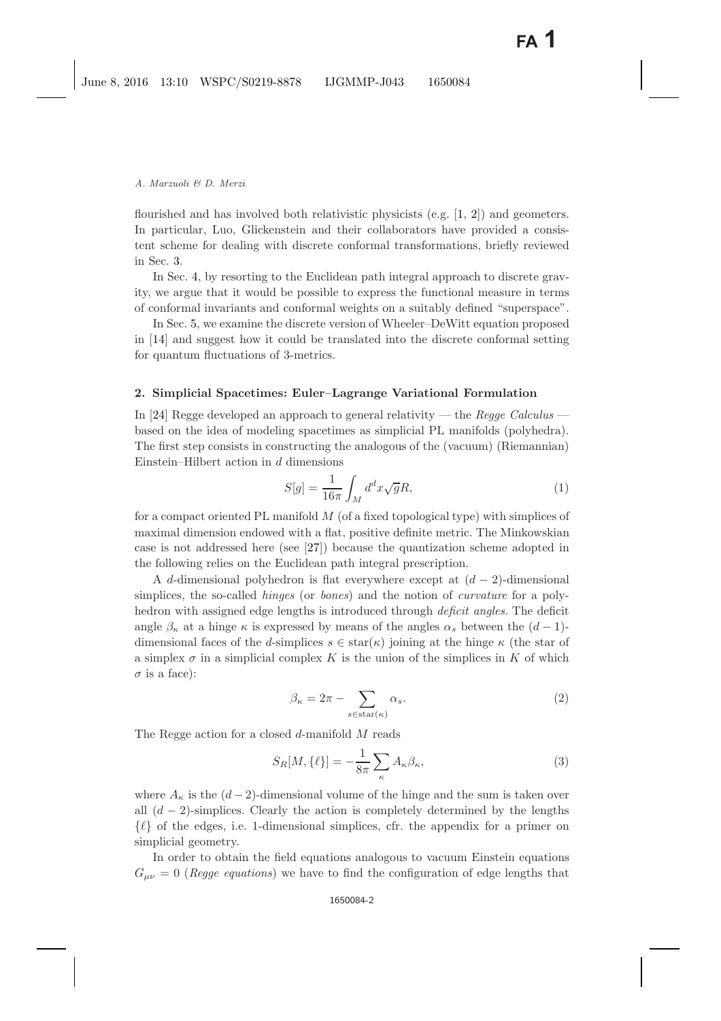flourished and has involved both relativistic physicists  $(e.g. [1, 2])$  $(e.g. [1, 2])$  $(e.g. [1, 2])$  $(e.g. [1, 2])$  $(e.g. [1, 2])$  and geometers. In particular, Luo, Glickenstein and their collaborators have provided a consistent scheme for dealing with discrete conformal transformations, briefly reviewed in Sec. [3.](#page-3-0)

In Sec. [4,](#page-9-0) by resorting to the Euclidean path integral approach to discrete gravity, we argue that it would be possible to express the functional measure in terms of conformal invariants and conformal weights on a suitably defined "superspace".

In Sec. [5,](#page-12-0) we examine the discrete version of Wheeler–DeWitt equation proposed in [\[14\]](#page-15-1) and suggest how it could be translated into the discrete conformal setting for quantum fluctuations of 3-metrics.

## <span id="page-1-0"></span>**2. Simplicial Spacetimes: Euler–Lagrange Variational Formulation**

In [\[24\]](#page-15-2) Regge developed an approach to general relativity — the *Regge Calculus* based on the idea of modeling spacetimes as simplicial PL manifolds (polyhedra). The first step consists in constructing the analogous of the (vacuum) (Riemannian) Einstein–Hilbert action in  $d$  dimensions

$$
S[g] = \frac{1}{16\pi} \int_M d^d x \sqrt{g} R,\tag{1}
$$

for a compact oriented PL manifold  $M$  (of a fixed topological type) with simplices of maximal dimension endowed with a flat, positive definite metric. The Minkowskian case is not addressed here (see [\[27\]](#page-15-3)) because the quantization scheme adopted in the following relies on the Euclidean path integral prescription.

A d-dimensional polyhedron is flat everywhere except at  $(d-2)$ -dimensional simplices, the so-called *hinges* (or *bones*) and the notion of *curvature* for a polyhedron with assigned edge lengths is introduced through *deficit angles*. The deficit angle  $\beta_{\kappa}$  at a hinge  $\kappa$  is expressed by means of the angles  $\alpha_{s}$  between the  $(d-1)$ dimensional faces of the d-simplices  $s \in \text{star}(\kappa)$  joining at the hinge  $\kappa$  (the star of a simplex  $\sigma$  in a simplicial complex K is the union of the simplices in K of which  $\sigma$  is a face):

$$
\beta_{\kappa} = 2\pi - \sum_{s \in \text{star}(\kappa)} \alpha_s. \tag{2}
$$

<span id="page-1-1"></span>The Regge action for a closed d-manifold M reads

$$
S_R[M, \{\ell\}] = -\frac{1}{8\pi} \sum_{\kappa} A_{\kappa} \beta_{\kappa},\tag{3}
$$

where  $A_{\kappa}$  is the  $(d-2)$ -dimensional volume of the hinge and the sum is taken over all  $(d-2)$ -simplices. Clearly the action is completely determined by the lengths  $\{\ell\}$  of the edges, i.e. 1-dimensional simplices, cfr. the appendix for a primer on simplicial geometry.

In order to obtain the field equations analogous to vacuum Einstein equations  $G_{\mu\nu} = 0$  (*Regge equations*) we have to find the configuration of edge lengths that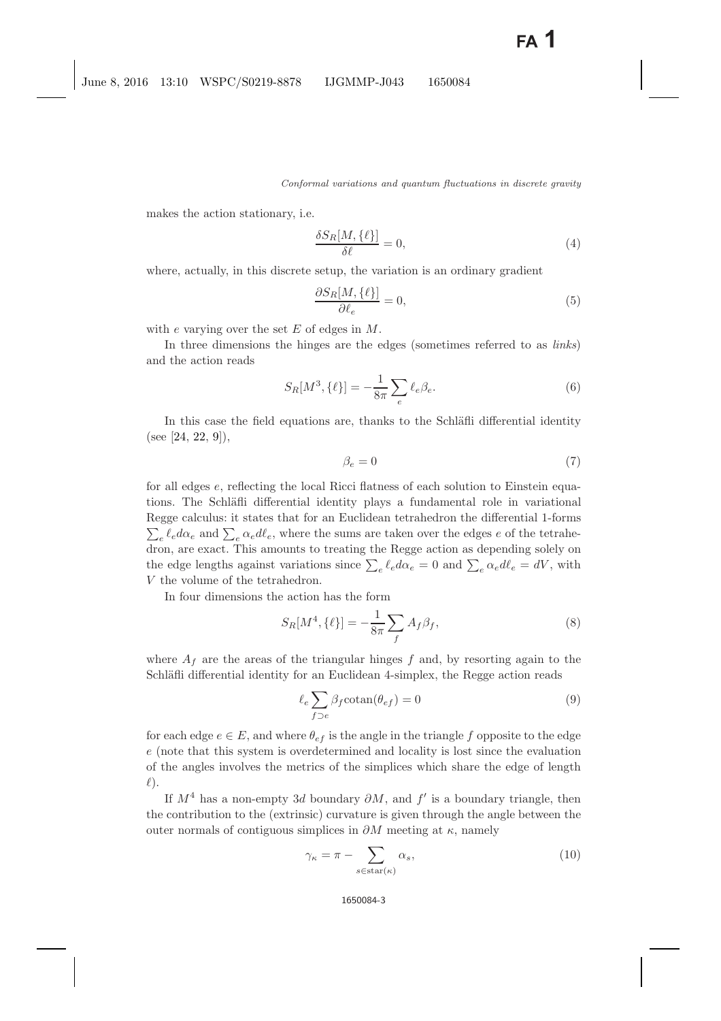makes the action stationary, i.e.

$$
\frac{\delta S_R[M, \{\ell\}]}{\delta \ell} = 0,\tag{4}
$$

where, actually, in this discrete setup, the variation is an ordinary gradient

$$
\frac{\partial S_R[M, \{\ell\}]}{\partial \ell_e} = 0,\tag{5}
$$

with e varying over the set  $E$  of edges in  $M$ .

In three dimensions the hinges are the edges (sometimes referred to as *links*) and the action reads

$$
S_R[M^3, \{\ell\}] = -\frac{1}{8\pi} \sum_e \ell_e \beta_e.
$$
 (6)

In this case the field equations are, thanks to the Schläfli differential identity (see [\[24,](#page-15-0) [22,](#page-15-4) [9\]](#page-15-5)),

$$
\beta_e = 0\tag{7}
$$

for all edges e, reflecting the local Ricci flatness of each solution to Einstein equations. The Schläfli differential identity plays a fundamental role in variational Regge calculus: it states that for an Euclidean tetrahedron the differential 1-forms  $\sum_{e} \ell_{e} d\alpha_{e}$  and  $\sum_{e} \alpha_{e} d\ell_{e}$ , where the sums are taken over the edges e of the tetrahedron, are exact. This amounts to treating the Regge action as depending solely on the edge lengths against variations since  $\sum_{e} \ell_{e} d\alpha_{e} = 0$  and  $\sum_{e} \alpha_{e} d\ell_{e} = dV$ , with V the volume of the tetrahedron.

In four dimensions the action has the form

$$
S_R[M^4, \{\ell\}] = -\frac{1}{8\pi} \sum_f A_f \beta_f,\tag{8}
$$

where  $A_f$  are the areas of the triangular hinges f and, by resorting again to the Schläfli differential identity for an Euclidean 4-simplex, the Regge action reads

$$
\ell_e \sum_{f \supset e} \beta_f \cot \operatorname{an}(\theta_{ef}) = 0 \tag{9}
$$

for each edge  $e \in E$ , and where  $\theta_{ef}$  is the angle in the triangle f opposite to the edge e (note that this system is overdetermined and locality is lost since the evaluation of the angles involves the metrics of the simplices which share the edge of length  $l$ ).

If  $M^4$  has a non-empty 3d boundary  $\partial M$ , and f' is a boundary triangle, then the contribution to the (extrinsic) curvature is given through the angle between the outer normals of contiguous simplices in  $\partial M$  meeting at  $\kappa$ , namely

$$
\gamma_{\kappa} = \pi - \sum_{s \in \text{star}(\kappa)} \alpha_s,\tag{10}
$$

#### 1650084-3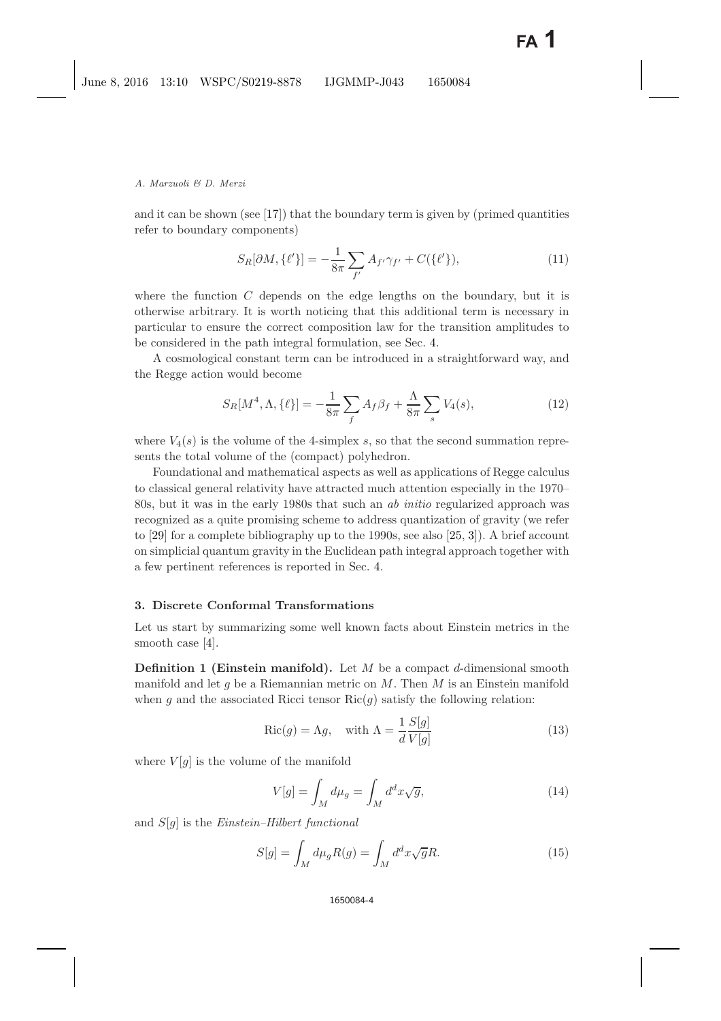and it can be shown (see [\[17\]](#page-15-6)) that the boundary term is given by (primed quantities refer to boundary components)

$$
S_R[\partial M, \{\ell'\}] = -\frac{1}{8\pi} \sum_{f'} A_{f'} \gamma_{f'} + C(\{\ell'\}),\tag{11}
$$

where the function  $C$  depends on the edge lengths on the boundary, but it is otherwise arbitrary. It is worth noticing that this additional term is necessary in particular to ensure the correct composition law for the transition amplitudes to be considered in the path integral formulation, see Sec. [4.](#page-9-0)

A cosmological constant term can be introduced in a straightforward way, and the Regge action would become

$$
S_R[M^4, \Lambda, \{\ell\}] = -\frac{1}{8\pi} \sum_f A_f \beta_f + \frac{\Lambda}{8\pi} \sum_s V_4(s), \tag{12}
$$

<span id="page-3-2"></span>where  $V_4(s)$  is the volume of the 4-simplex s, so that the second summation represents the total volume of the (compact) polyhedron.

Foundational and mathematical aspects as well as applications of Regge calculus to classical general relativity have attracted much attention especially in the 1970– 80s, but it was in the early 1980s that such an *ab initio* regularized approach was recognized as a quite promising scheme to address quantization of gravity (we refer to [\[29\]](#page-15-7) for a complete bibliography up to the 1990s, see also [\[25,](#page-15-8) [3\]](#page-14-5)). A brief account on simplicial quantum gravity in the Euclidean path integral approach together with a few pertinent references is reported in Sec. [4.](#page-9-0)

### <span id="page-3-3"></span><span id="page-3-0"></span>**3. Discrete Conformal Transformations**

Let us start by summarizing some well known facts about Einstein metrics in the smooth case [\[4\]](#page-14-6).

**Definition 1 (Einstein manifold).** Let M be a compact d-dimensional smooth manifold and let g be a Riemannian metric on  $M$ . Then  $M$  is an Einstein manifold when q and the associated Ricci tensor  $Ric(q)$  satisfy the following relation:

$$
Ric(g) = \Lambda g, \quad \text{with } \Lambda = \frac{1}{d} \frac{S[g]}{V[g]} \tag{13}
$$

where  $V[g]$  is the volume of the manifold

$$
V[g] = \int_{M} d\mu_g = \int_{M} d^d x \sqrt{g}, \qquad (14)
$$

<span id="page-3-1"></span>and S[g] is the *Einstein–Hilbert functional*

$$
S[g] = \int_M d\mu_g R(g) = \int_M d^d x \sqrt{g} R. \tag{15}
$$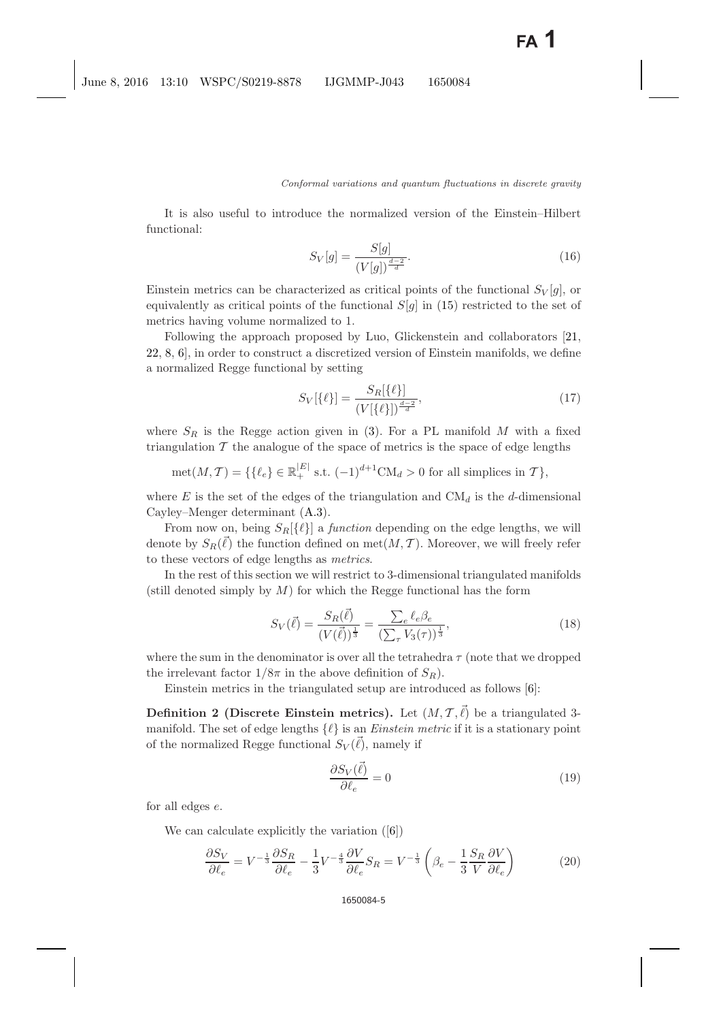It is also useful to introduce the normalized version of the Einstein–Hilbert functional:

$$
S_V[g] = \frac{S[g]}{(V[g])^{\frac{d-2}{d}}}.
$$
\n(16)

Einstein metrics can be characterized as critical points of the functional  $S_V[q]$ , or equivalently as critical points of the functional  $S[g]$  in [\(15\)](#page-3-1) restricted to the set of metrics having volume normalized to 1.

Following the approach proposed by Luo, Glickenstein and collaborators [\[21,](#page-15-9) [22,](#page-15-4) [8,](#page-15-10) [6\]](#page-14-7), in order to construct a discretized version of Einstein manifolds, we define a normalized Regge functional by setting

$$
S_V[\{\ell\}] = \frac{S_R[\{\ell\}]}{(V[\{\ell\}])^{\frac{d-2}{d}}},\tag{17}
$$

where  $S_R$  is the Regge action given in [\(3\)](#page-1-1). For a PL manifold M with a fixed triangulation  $\mathcal T$  the analogue of the space of metrics is the space of edge lengths

$$
\operatorname{met}(M, \mathcal{T}) = \{ \{ \ell_e \} \in \mathbb{R}_+^{|E|} \text{ s.t. } (-1)^{d+1} \operatorname{CM}_d > 0 \text{ for all simplices in } \mathcal{T} \},
$$

where E is the set of the edges of the triangulation and  $CM_d$  is the d-dimensional Cayley–Menger determinant [\(A.3\)](#page-13-0).

From now on, being  $S_R[\{\ell\}]$  a *function* depending on the edge lengths, we will denote by  $S_R(\ell)$  the function defined on met $(M, \mathcal{T})$ . Moreover, we will freely refer to these vectors of edge lengths as *metrics*.

In the rest of this section we will restrict to 3-dimensional triangulated manifolds (still denoted simply by  $M$ ) for which the Regge functional has the form

$$
S_V(\vec{\ell}) = \frac{S_R(\vec{\ell})}{(V(\vec{\ell}))^{\frac{1}{3}}} = \frac{\sum_e \ell_e \beta_e}{(\sum_\tau V_3(\tau))^{\frac{1}{3}}},\tag{18}
$$

where the sum in the denominator is over all the tetrahedra  $\tau$  (note that we dropped the irrelevant factor  $1/8\pi$  in the above definition of  $S_R$ ).

Einstein metrics in the triangulated setup are introduced as follows [\[6\]](#page-14-7):

**Definition 2 (Discrete Einstein metrics).** Let  $(M, \mathcal{T}, \vec{\ell})$  be a triangulated 3manifold. The set of edge lengths  $\{\ell\}$  is an *Einstein metric* if it is a stationary point of the normalized Regge functional  $S_V(\ell)$ , namely if

<span id="page-4-2"></span><span id="page-4-1"></span><span id="page-4-0"></span>
$$
\frac{\partial S_V(\vec{\ell})}{\partial \ell_e} = 0\tag{19}
$$

for all edges e.

We can calculate explicitly the variation ([\[6\]](#page-14-7))

$$
\frac{\partial S_V}{\partial \ell_e} = V^{-\frac{1}{3}} \frac{\partial S_R}{\partial \ell_e} - \frac{1}{3} V^{-\frac{4}{3}} \frac{\partial V}{\partial \ell_e} S_R = V^{-\frac{1}{3}} \left( \beta_e - \frac{1}{3} \frac{S_R}{V} \frac{\partial V}{\partial \ell_e} \right) \tag{20}
$$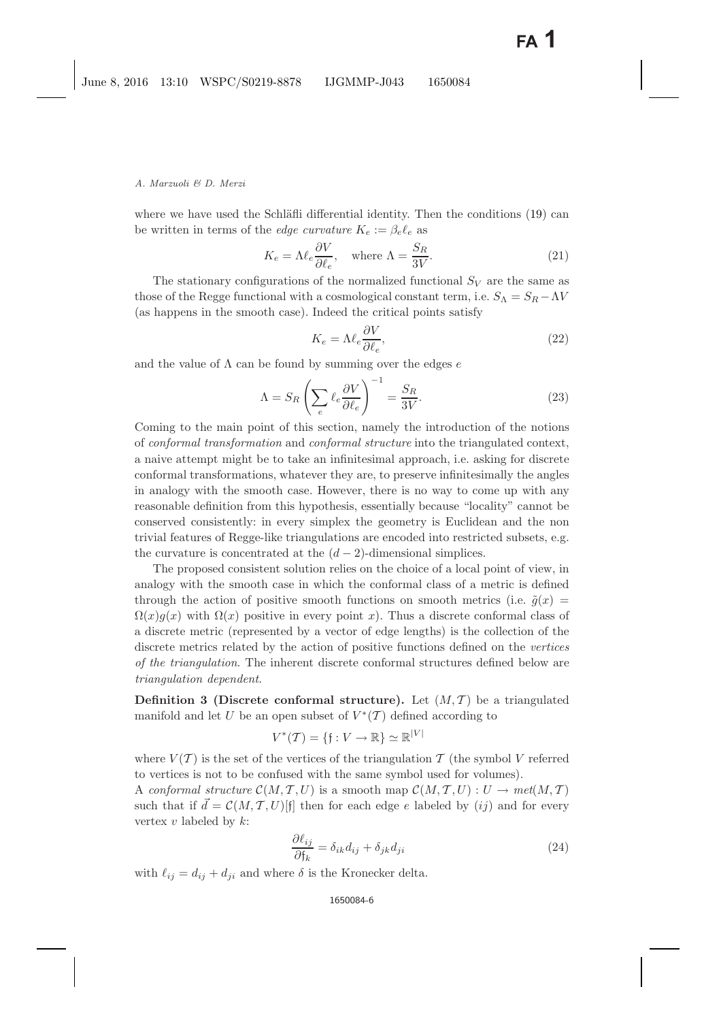where we have used the Schläfli differential identity. Then the conditions  $(19)$  can be written in terms of the *edge curvature*  $K_e := \beta_e \ell_e$  as

$$
K_e = \Lambda \ell_e \frac{\partial V}{\partial \ell_e}, \quad \text{where } \Lambda = \frac{S_R}{3V}.
$$
 (21)

<span id="page-5-0"></span>The stationary configurations of the normalized functional  $S_V$  are the same as those of the Regge functional with a cosmological constant term, i.e.  $S_{\Lambda} = S_R - \Lambda V$ (as happens in the smooth case). Indeed the critical points satisfy

$$
K_e = \Lambda \ell_e \frac{\partial V}{\partial \ell_e},\tag{22}
$$

and the value of  $\Lambda$  can be found by summing over the edges e

$$
\Lambda = S_R \left( \sum_e \ell_e \frac{\partial V}{\partial \ell_e} \right)^{-1} = \frac{S_R}{3V}.
$$
\n(23)

Coming to the main point of this section, namely the introduction of the notions of *conformal transformation* and *conformal structure* into the triangulated context, a naive attempt might be to take an infinitesimal approach, i.e. asking for discrete conformal transformations, whatever they are, to preserve infinitesimally the angles in analogy with the smooth case. However, there is no way to come up with any reasonable definition from this hypothesis, essentially because "locality" cannot be conserved consistently: in every simplex the geometry is Euclidean and the non trivial features of Regge-like triangulations are encoded into restricted subsets, e.g. the curvature is concentrated at the  $(d-2)$ -dimensional simplices.

The proposed consistent solution relies on the choice of a local point of view, in analogy with the smooth case in which the conformal class of a metric is defined through the action of positive smooth functions on smooth metrics (i.e.  $\tilde{q}(x)$ )  $\Omega(x)g(x)$  with  $\Omega(x)$  positive in every point x). Thus a discrete conformal class of a discrete metric (represented by a vector of edge lengths) is the collection of the discrete metrics related by the action of positive functions defined on the *vertices of the triangulation*. The inherent discrete conformal structures defined below are *triangulation dependent*.

**Definition 3 (Discrete conformal structure).** Let  $(M, \mathcal{T})$  be a triangulated manifold and let U be an open subset of  $V^*(\mathcal{T})$  defined according to

$$
V^*(\mathcal{T}) = \{ \mathfrak{f} : V \to \mathbb{R} \} \simeq \mathbb{R}^{|V|}
$$

where  $V(\mathcal{T})$  is the set of the vertices of the triangulation  $\mathcal{T}$  (the symbol V referred to vertices is not to be confused with the same symbol used for volumes).

A *conformal structure*  $C(M, \mathcal{T}, U)$  is a smooth map  $C(M, \mathcal{T}, U) : U \to met(M, \mathcal{T})$ such that if  $\vec{d} = \mathcal{C}(M, \mathcal{T}, U)[\mathfrak{f}]$  then for each edge e labeled by  $(ij)$  and for every vertex  $v$  labeled by  $k$ :

$$
\frac{\partial \ell_{ij}}{\partial \mathfrak{f}_k} = \delta_{ik} d_{ij} + \delta_{jk} d_{ji}
$$
\n(24)

with  $\ell_{ij} = d_{ij} + d_{ji}$  and where  $\delta$  is the Kronecker delta.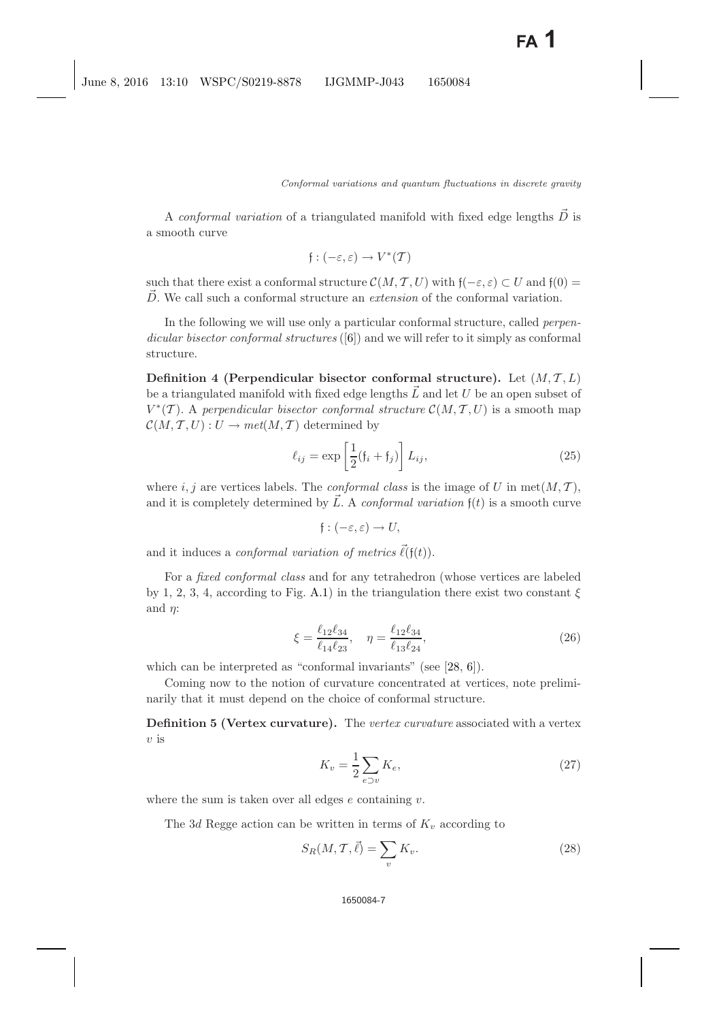A *conformal variation* of a triangulated manifold with fixed edge lengths D is a smooth curve

$$
\mathfrak{f}:(-\varepsilon,\varepsilon)\to V^*(\mathcal{T})
$$

such that there exist a conformal structure  $\mathcal{C}(M, \mathcal{T}, U)$  with  $\mathfrak{f}(-\varepsilon, \varepsilon) \subset U$  and  $\mathfrak{f}(0) =$  $\overrightarrow{D}$ . We call such a conformal structure an *extension* of the conformal variation.

In the following we will use only a particular conformal structure, called *perpendicular bisector conformal structures* ([\[6\]](#page-14-7)) and we will refer to it simply as conformal structure.

<span id="page-6-1"></span>**Definition 4 (Perpendicular bisector conformal structure).** Let  $(M, \mathcal{T}, L)$ be a triangulated manifold with fixed edge lengths  $\vec{L}$  and let U be an open subset of  $V^*(\mathcal{T})$ . A *perpendicular bisector conformal structure*  $\mathcal{C}(M, \mathcal{T}, U)$  is a smooth map  $\mathcal{C}(M, \mathcal{T}, U) : U \to met(M, \mathcal{T})$  determined by

<span id="page-6-2"></span>
$$
\ell_{ij} = \exp\left[\frac{1}{2}(\mathfrak{f}_i + \mathfrak{f}_j)\right] L_{ij},\tag{25}
$$

<span id="page-6-5"></span>where i, j are vertices labels. The *conformal class* is the image of U in  $met(M, T)$ , and it is completely determined by  $\vec{L}$ . A *conformal variation*  $f(t)$  is a smooth curve

$$
f:(-\varepsilon,\varepsilon)\to U,
$$

and it induces a *conformal variation of metrics*  $\vec{\ell}(f(t))$ .

For a *fixed conformal class* and for any tetrahedron (whose vertices are labeled by 1, 2, 3, 4, according to Fig. [A.1\)](#page-14-8) in the triangulation there exist two constant  $\xi$ and  $\eta$ :

<span id="page-6-0"></span>
$$
\xi = \frac{\ell_{12}\ell_{34}}{\ell_{14}\ell_{23}}, \quad \eta = \frac{\ell_{12}\ell_{34}}{\ell_{13}\ell_{24}},\tag{26}
$$

<span id="page-6-3"></span>which can be interpreted as "conformal invariants" (see [\[28,](#page-15-11) [6\]](#page-14-7)).

<span id="page-6-4"></span>Coming now to the notion of curvature concentrated at vertices, note preliminarily that it must depend on the choice of conformal structure.

**Definition 5 (Vertex curvature).** The *vertex curvature* associated with a vertex  $v$  is

$$
K_v = \frac{1}{2} \sum_{e \supset v} K_e,\tag{27}
$$

where the sum is taken over all edges  $e$  containing  $v$ .

The 3d Regge action can be written in terms of  $K_v$  according to

$$
S_R(M, \mathcal{T}, \vec{\ell}) = \sum_v K_v.
$$
\n(28)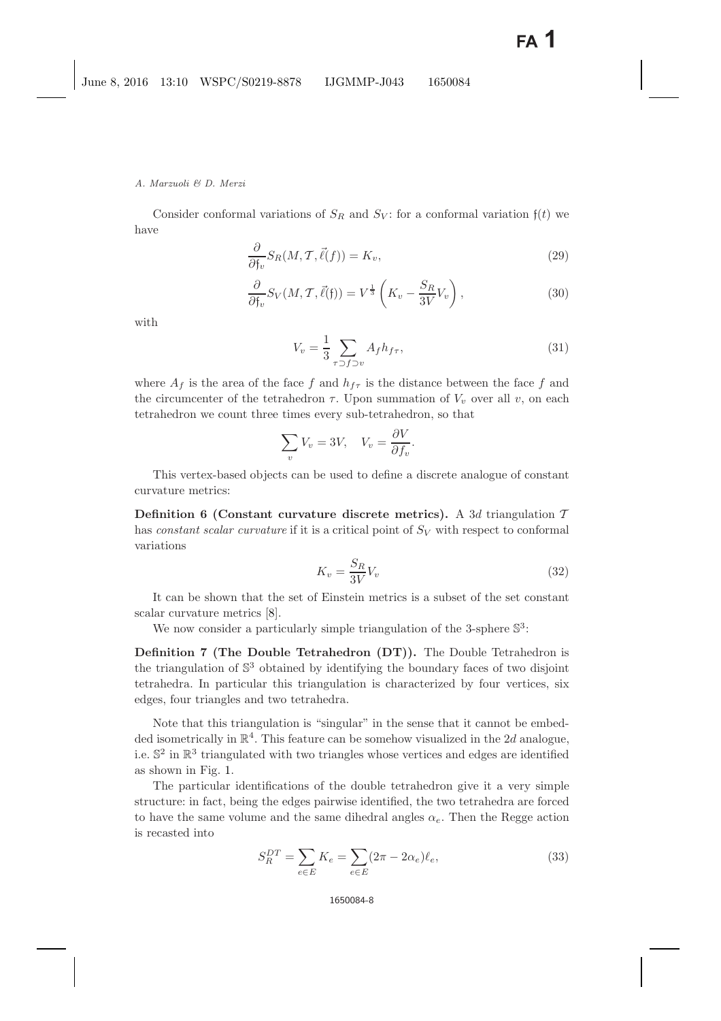#### *A. Marzuoli & D. Merzi*

Consider conformal variations of  $S_R$  and  $S_V$ : for a conformal variation  $f(t)$  we have

$$
\frac{\partial}{\partial f_v} S_R(M, \mathcal{T}, \vec{\ell}(f)) = K_v,\tag{29}
$$

$$
\frac{\partial}{\partial f_v} S_V(M, \mathcal{T}, \vec{\ell}(f)) = V^{\frac{1}{3}} \left( K_v - \frac{S_R}{3V} V_v \right), \tag{30}
$$

<span id="page-7-0"></span>with

$$
V_v = \frac{1}{3} \sum_{\tau \supset f \supset v} A_f h_{f\tau},\tag{31}
$$

where  $A_f$  is the area of the face f and  $h_{f\tau}$  is the distance between the face f and the circumcenter of the tetrahedron  $\tau$ . Upon summation of  $V_v$  over all v, on each tetrahedron we count three times every sub-tetrahedron, so that

$$
\sum_{v} V_{v} = 3V, \quad V_{v} = \frac{\partial V}{\partial f_{v}}.
$$

<span id="page-7-1"></span>This vertex-based objects can be used to define a discrete analogue of constant curvature metrics:

**Definition 6 (Constant curvature discrete metrics).** A 3d triangulation  $T$ has *constant scalar curvature* if it is a critical point of  $S_V$  with respect to conformal variations

$$
K_v = \frac{S_R}{3V} V_v \tag{32}
$$

It can be shown that the set of Einstein metrics is a subset of the set constant scalar curvature metrics [\[8\]](#page-15-12).

We now consider a particularly simple triangulation of the 3-sphere  $\mathbb{S}^3$ :

**Definition 7 (The Double Tetrahedron (DT)).** The Double Tetrahedron is the triangulation of  $\mathbb{S}^3$  obtained by identifying the boundary faces of two disjoint tetrahedra. In particular this triangulation is characterized by four vertices, six edges, four triangles and two tetrahedra.

Note that this triangulation is "singular" in the sense that it cannot be embedded isometrically in  $\mathbb{R}^4$ . This feature can be somehow visualized in the 2d analogue, i.e.  $\mathbb{S}^2$  in  $\mathbb{R}^3$  triangulated with two triangles whose vertices and edges are identified as shown in Fig. [1.](#page-8-0)

The particular identifications of the double tetrahedron give it a very simple structure: in fact, being the edges pairwise identified, the two tetrahedra are forced to have the same volume and the same dihedral angles  $\alpha_e$ . Then the Regge action is recasted into

$$
S_R^{DT} = \sum_{e \in E} K_e = \sum_{e \in E} (2\pi - 2\alpha_e) \ell_e,
$$
 (33)

#### 1650084-8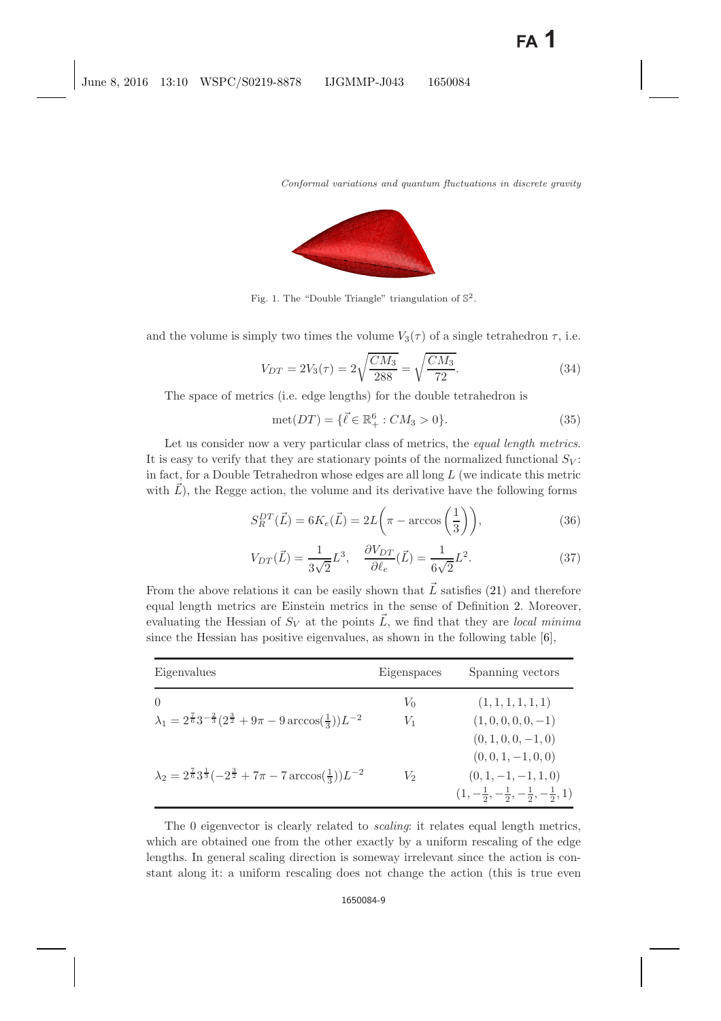

<span id="page-8-0"></span>Fig. 1. The "Double Triangle" triangulation of  $\mathbb{S}^2$ .

and the volume is simply two times the volume  $V_3(\tau)$  of a single tetrahedron  $\tau$ , i.e.

$$
V_{DT} = 2V_3(\tau) = 2\sqrt{\frac{CM_3}{288}} = \sqrt{\frac{CM_3}{72}}.
$$
\n(34)

The space of metrics (i.e. edge lengths) for the double tetrahedron is

$$
met(DT) = \{ \vec{\ell} \in \mathbb{R}_+^6 : CM_3 > 0 \}.
$$
 (35)

Let us consider now a very particular class of metrics, the *equal length metrics*. It is easy to verify that they are stationary points of the normalized functional  $S_V$ : in fact, for a Double Tetrahedron whose edges are all long  $L$  (we indicate this metric with  $\overline{L}$ ), the Regge action, the volume and its derivative have the following forms

$$
S_R^{DT}(\vec{L}) = 6K_e(\vec{L}) = 2L\left(\pi - \arccos\left(\frac{1}{3}\right)\right),\tag{36}
$$

$$
V_{DT}(\vec{L}) = \frac{1}{3\sqrt{2}}L^3, \quad \frac{\partial V_{DT}}{\partial \ell_e}(\vec{L}) = \frac{1}{6\sqrt{2}}L^2.
$$
 (37)

From the above relations it can be easily shown that  $\vec{L}$  satisfies [\(21\)](#page-5-0) and therefore equal length metrics are Einstein metrics in the sense of Definition [2.](#page-4-1) Moreover, evaluating the Hessian of  $S_V$  at the points  $\vec{L}$ , we find that they are *local minima* since the Hessian has positive eigenvalues, as shown in the following table [\[6\]](#page-14-7),

| Eigenvalues                                                                                             | Eigenspaces | Spanning vectors                                                 |
|---------------------------------------------------------------------------------------------------------|-------------|------------------------------------------------------------------|
| $\left($                                                                                                | $V_0$       | (1, 1, 1, 1, 1, 1)                                               |
| $\lambda_1 = 2^{\frac{7}{6}} 3^{-\frac{2}{3}} (2^{\frac{3}{2}} + 9\pi - 9 \arccos(\frac{1}{2})) L^{-2}$ | $V_1$       | $(1,0,0,0,0,-1)$                                                 |
|                                                                                                         |             | $(0, 1, 0, 0, -1, 0)$                                            |
|                                                                                                         |             | $(0,0,1,-1,0,0)$                                                 |
| $\lambda_2 = 2^{\frac{7}{6}} 3^{\frac{1}{3}} (-2^{\frac{3}{2}} + 7\pi - 7 \arccos(\frac{1}{3})) L^{-2}$ | V2          | $(0, 1, -1, -1, 1, 0)$                                           |
|                                                                                                         |             | $(1, -\frac{1}{2}, -\frac{1}{2}, -\frac{1}{2}, -\frac{1}{2}, 1)$ |

The 0 eigenvector is clearly related to *scaling*: it relates equal length metrics, which are obtained one from the other exactly by a uniform rescaling of the edge lengths. In general scaling direction is someway irrelevant since the action is constant along it: a uniform rescaling does not change the action (this is true even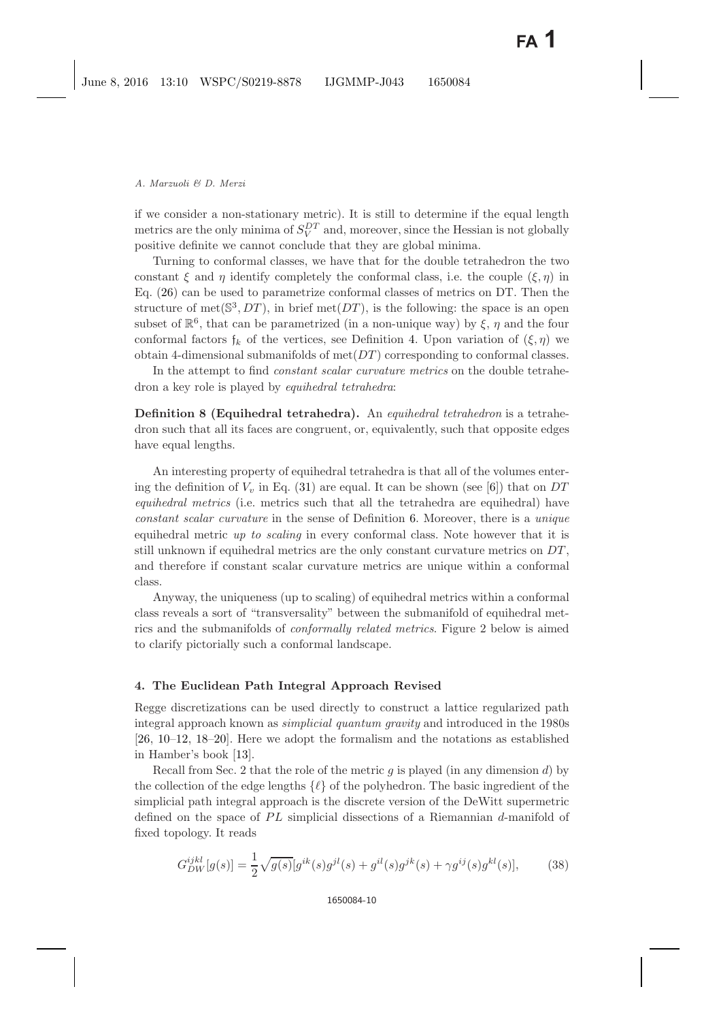if we consider a non-stationary metric). It is still to determine if the equal length metrics are the only minima of  $S_V^{DT}$  and, moreover, since the Hessian is not globally positive definite we cannot conclude that they are global minima.

Turning to conformal classes, we have that for the double tetrahedron the two constant  $\xi$  and  $\eta$  identify completely the conformal class, i.e. the couple  $(\xi, \eta)$  in Eq. [\(26\)](#page-6-0) can be used to parametrize conformal classes of metrics on DT. Then the structure of met( $S^3, DT$ ), in brief met( $DT$ ), is the following: the space is an open subset of  $\mathbb{R}^6$ , that can be parametrized (in a non-unique way) by  $\xi$ ,  $\eta$  and the four conformal factors  $f_k$  of the vertices, see Definition [4.](#page-6-1) Upon variation of  $(\xi, \eta)$  we obtain 4-dimensional submanifolds of  $met(DT)$  corresponding to conformal classes.

In the attempt to find *constant scalar curvature metrics* on the double tetrahedron a key role is played by *equihedral tetrahedra*:

**Definition 8 (Equihedral tetrahedra).** An *equihedral tetrahedron* is a tetrahedron such that all its faces are congruent, or, equivalently, such that opposite edges have equal lengths.

An interesting property of equihedral tetrahedra is that all of the volumes entering the definition of  $V_v$  in Eq. [\(31\)](#page-7-0) are equal. It can be shown (see [\[6\]](#page-14-9)) that on DT *equihedral metrics* (i.e. metrics such that all the tetrahedra are equihedral) have *constant scalar curvature* in the sense of Definition [6.](#page-7-1) Moreover, there is a *unique* equihedral metric *up to scaling* in every conformal class. Note however that it is still unknown if equihedral metrics are the only constant curvature metrics on  $DT$ , and therefore if constant scalar curvature metrics are unique within a conformal class.

Anyway, the uniqueness (up to scaling) of equihedral metrics within a conformal class reveals a sort of "transversality" between the submanifold of equihedral metrics and the submanifolds of *conformally related metrics*. Figure 2 below is aimed to clarify pictorially such a conformal landscape.

### <span id="page-9-0"></span>**4. The Euclidean Path Integral Approach Revised**

Regge discretizations can be used directly to construct a lattice regularized path integral approach known as *simplicial quantum gravity* and introduced in the 1980s [\[26,](#page-15-13) [10](#page-15-14)[–12,](#page-15-15) [18](#page-15-16)[–20\]](#page-15-17). Here we adopt the formalism and the notations as established in Hamber's book [\[13\]](#page-15-18).

Recall from Sec. 2 that the role of the metric  $g$  is played (in any dimension  $d$ ) by the collection of the edge lengths  $\{\ell\}$  of the polyhedron. The basic ingredient of the simplicial path integral approach is the discrete version of the DeWitt supermetric defined on the space of  $PL$  simplicial dissections of a Riemannian d-manifold of fixed topology. It reads

$$
G_{DW}^{ijkl}[g(s)] = \frac{1}{2}\sqrt{g(s)}[g^{ik}(s)g^{jl}(s) + g^{il}(s)g^{jk}(s) + \gamma g^{ij}(s)g^{kl}(s)],\tag{38}
$$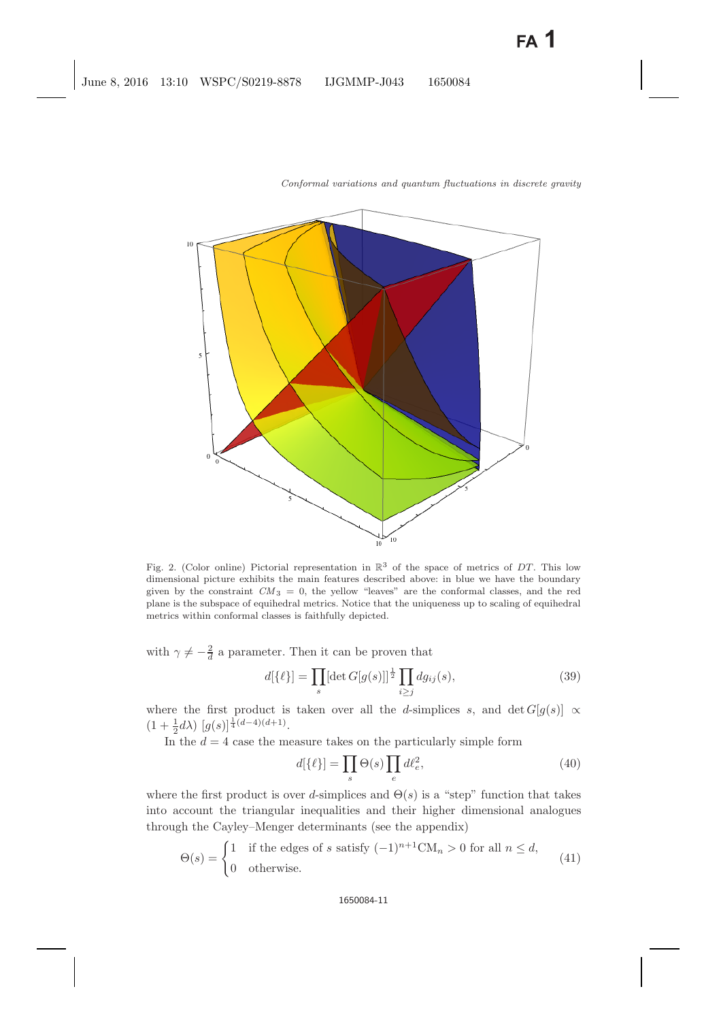

<span id="page-10-1"></span>Fig. 2. (Color online) Pictorial representation in  $\mathbb{R}^3$  of the space of metrics of *DT*. This low dimensional picture exhibits the main features described above: in blue we have the boundary given by the constraint  $CM_3 = 0$ , the yellow "leaves" are the conformal classes, and the red plane is the subspace of equihedral metrics. Notice that the uniqueness up to scaling of equihedral metrics within conformal classes is faithfully depicted.

with  $\gamma \neq -\frac{2}{d}$  a parameter. Then it can be proven that

$$
d[\{\ell\}] = \prod_{s} [\det G[g(s)]]^{\frac{1}{2}} \prod_{i \ge j} dg_{ij}(s), \qquad (39)
$$

where the first product is taken over all the d-simplices s, and det  $G[g(s)] \propto$  $(1+\frac{1}{2}d\lambda)\left[g(s)\right]^{\frac{1}{4}(d-4)(d+1)}$ .

<span id="page-10-0"></span>In the  $d = 4$  case the measure takes on the particularly simple form

$$
d[\{\ell\}] = \prod_{s} \Theta(s) \prod_{e} d\ell_e^2, \tag{40}
$$

where the first product is over d-simplices and  $\Theta(s)$  is a "step" function that takes into account the triangular inequalities and their higher dimensional analogues through the Cayley–Menger determinants (see the appendix)

$$
\Theta(s) = \begin{cases} 1 & \text{if the edges of } s \text{ satisfy } (-1)^{n+1} \text{CM}_n > 0 \text{ for all } n \le d, \\ 0 & \text{otherwise.} \end{cases} \tag{41}
$$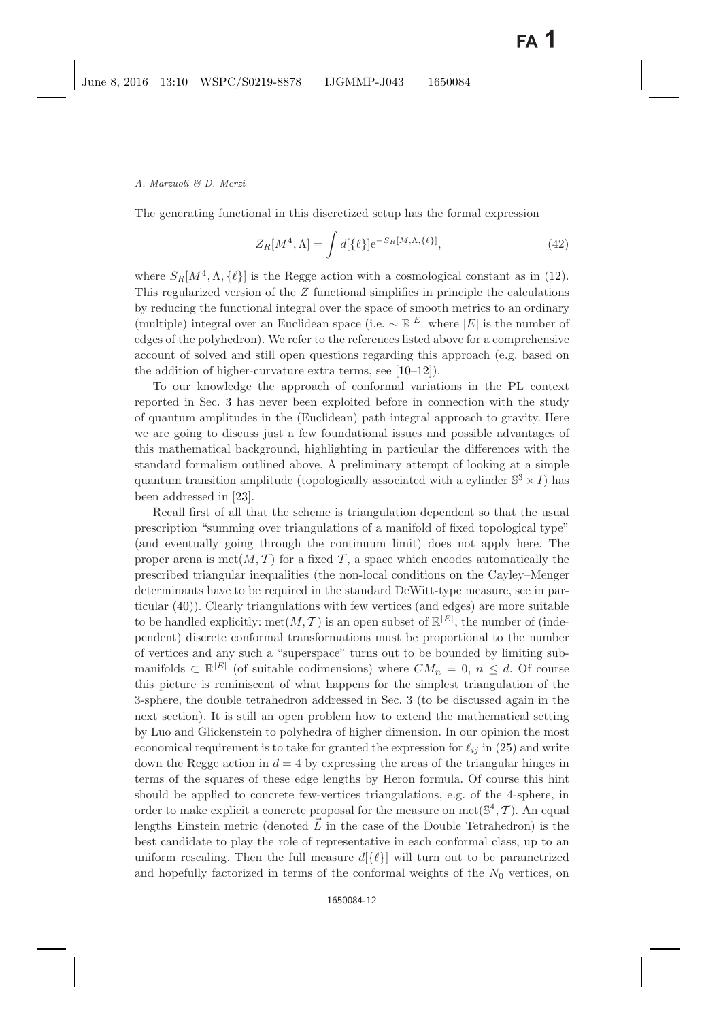The generating functional in this discretized setup has the formal expression

$$
Z_R[M^4,\Lambda] = \int d[\{\ell\}] \mathrm{e}^{-S_R[M,\Lambda,\{\ell\}]},\tag{42}
$$

where  $S_R[M^4, \Lambda, {\ell}]}$  is the Regge action with a cosmological constant as in [\(12\)](#page-3-2). This regularized version of the Z functional simplifies in principle the calculations by reducing the functional integral over the space of smooth metrics to an ordinary (multiple) integral over an Euclidean space (i.e.  $\sim \mathbb{R}^{|E|}$  where  $|E|$  is the number of edges of the polyhedron). We refer to the references listed above for a comprehensive account of solved and still open questions regarding this approach (e.g. based on the addition of higher-curvature extra terms, see [\[10](#page-15-14)[–12\]](#page-15-15)).

To our knowledge the approach of conformal variations in the PL context reported in Sec. [3](#page-3-0) has never been exploited before in connection with the study of quantum amplitudes in the (Euclidean) path integral approach to gravity. Here we are going to discuss just a few foundational issues and possible advantages of this mathematical background, highlighting in particular the differences with the standard formalism outlined above. A preliminary attempt of looking at a simple quantum transition amplitude (topologically associated with a cylinder  $\mathbb{S}^3 \times I$ ) has been addressed in [\[23\]](#page-15-19).

Recall first of all that the scheme is triangulation dependent so that the usual prescription "summing over triangulations of a manifold of fixed topological type" (and eventually going through the continuum limit) does not apply here. The proper arena is met $(M, \mathcal{T})$  for a fixed T, a space which encodes automatically the prescribed triangular inequalities (the non-local conditions on the Cayley–Menger determinants have to be required in the standard DeWitt-type measure, see in particular [\(40\)](#page-10-0)). Clearly triangulations with few vertices (and edges) are more suitable to be handled explicitly:  $met(M, T)$  is an open subset of  $\mathbb{R}^{|E|}$ , the number of (independent) discrete conformal transformations must be proportional to the number of vertices and any such a "superspace" turns out to be bounded by limiting submanifolds  $\subset \mathbb{R}^{|E|}$  (of suitable codimensions) where  $CM_n = 0, n \leq d$ . Of course this picture is reminiscent of what happens for the simplest triangulation of the 3-sphere, the double tetrahedron addressed in Sec. 3 (to be discussed again in the next section). It is still an open problem how to extend the mathematical setting by Luo and Glickenstein to polyhedra of higher dimension. In our opinion the most economical requirement is to take for granted the expression for  $\ell_{ij}$  in [\(25\)](#page-6-2) and write down the Regge action in  $d = 4$  by expressing the areas of the triangular hinges in terms of the squares of these edge lengths by Heron formula. Of course this hint should be applied to concrete few-vertices triangulations, e.g. of the 4-sphere, in order to make explicit a concrete proposal for the measure on  $met(\mathbb{S}^4, \mathcal{T})$ . An equal lengths Einstein metric (denoted  $\vec{L}$  in the case of the Double Tetrahedron) is the best candidate to play the role of representative in each conformal class, up to an uniform rescaling. Then the full measure  $d({\ell})$  will turn out to be parametrized and hopefully factorized in terms of the conformal weights of the  $N_0$  vertices, on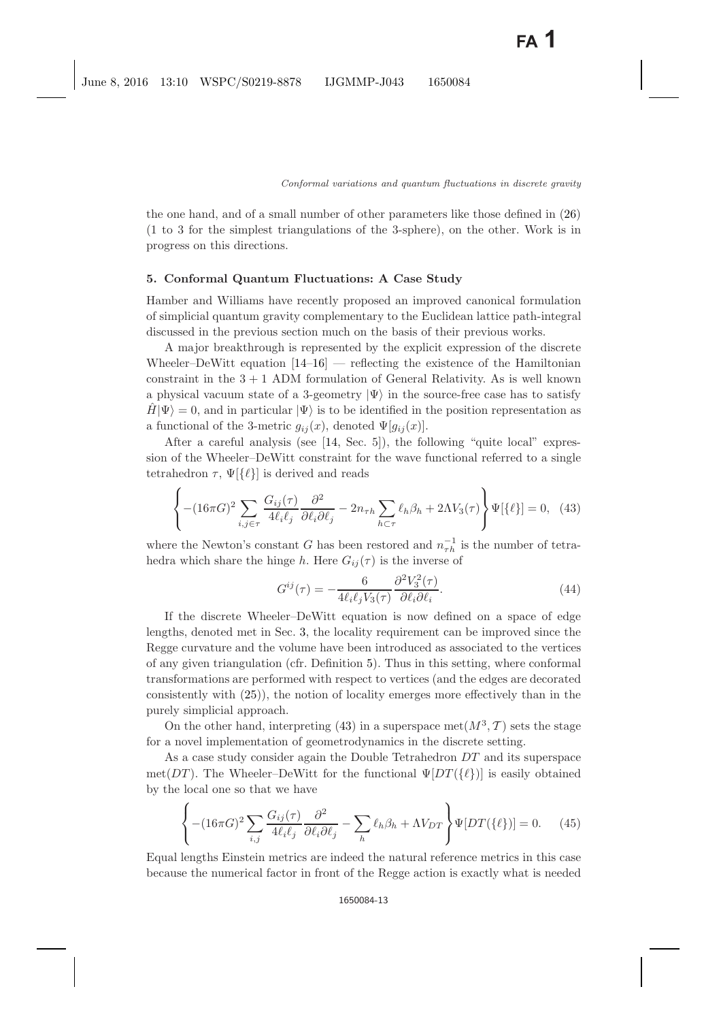the one hand, and of a small number of other parameters like those defined in [\(26\)](#page-6-3) (1 to 3 for the simplest triangulations of the 3-sphere), on the other. Work is in progress on this directions.

### <span id="page-12-0"></span>**5. Conformal Quantum Fluctuations: A Case Study**

Hamber and Williams have recently proposed an improved canonical formulation of simplicial quantum gravity complementary to the Euclidean lattice path-integral discussed in the previous section much on the basis of their previous works.

A major breakthrough is represented by the explicit expression of the discrete Wheeler–DeWitt equation  $[14-16]$  $[14-16]$  — reflecting the existence of the Hamiltonian constraint in the  $3 + 1$  ADM formulation of General Relativity. As is well known a physical vacuum state of a 3-geometry  $|\Psi\rangle$  in the source-free case has to satisfy  $\hat{H}|\Psi\rangle = 0$ , and in particular  $|\Psi\rangle$  is to be identified in the position representation as a functional of the 3-metric  $g_{ij}(x)$ , denoted  $\Psi[g_{ij}(x)]$ .

After a careful analysis (see [\[14,](#page-15-20) Sec. 5]), the following "quite local" expression of the Wheeler–DeWitt constraint for the wave functional referred to a single tetrahedron  $\tau$ ,  $\Psi$ [{ $\ell$ }] is derived and reads

$$
\left\{ - (16\pi G)^2 \sum_{i,j \in \tau} \frac{G_{ij}(\tau)}{4\ell_i \ell_j} \frac{\partial^2}{\partial \ell_i \partial \ell_j} - 2n_{\tau h} \sum_{h \subset \tau} \ell_h \beta_h + 2\Lambda V_3(\tau) \right\} \Psi[\{\ell\}] = 0, \tag{43}
$$

<span id="page-12-1"></span>where the Newton's constant G has been restored and  $n_{\tau h}^{-1}$  is the number of tetrahedra which share the hinge h. Here  $G_{ij}(\tau)$  is the inverse of

$$
G^{ij}(\tau) = -\frac{6}{4\ell_i \ell_j V_3(\tau)} \frac{\partial^2 V_3^2(\tau)}{\partial \ell_i \partial \ell_i}.
$$
\n(44)

If the discrete Wheeler–DeWitt equation is now defined on a space of edge lengths, denoted met in Sec. [3,](#page-3-3) the locality requirement can be improved since the Regge curvature and the volume have been introduced as associated to the vertices of any given triangulation (cfr. Definition [5\)](#page-6-4). Thus in this setting, where conformal transformations are performed with respect to vertices (and the edges are decorated consistently with [\(25\)](#page-6-5)), the notion of locality emerges more effectively than in the purely simplicial approach.

On the other hand, interpreting [\(43\)](#page-12-1) in a superspace met $(M^3, \mathcal{T})$  sets the stage for a novel implementation of geometrodynamics in the discrete setting.

As a case study consider again the Double Tetrahedron DT and its superspace met( $DT$ ). The Wheeler–DeWitt for the functional  $\Psi[DT(\lbrace \ell \rbrace)]$  is easily obtained by the local one so that we have

$$
\left\{ - (16\pi G)^2 \sum_{i,j} \frac{G_{ij}(\tau)}{4\ell_i \ell_j} \frac{\partial^2}{\partial \ell_i \partial \ell_j} - \sum_h \ell_h \beta_h + \Lambda V_{DT} \right\} \Psi[DT(\{\ell\})] = 0. \tag{45}
$$

Equal lengths Einstein metrics are indeed the natural reference metrics in this case because the numerical factor in front of the Regge action is exactly what is needed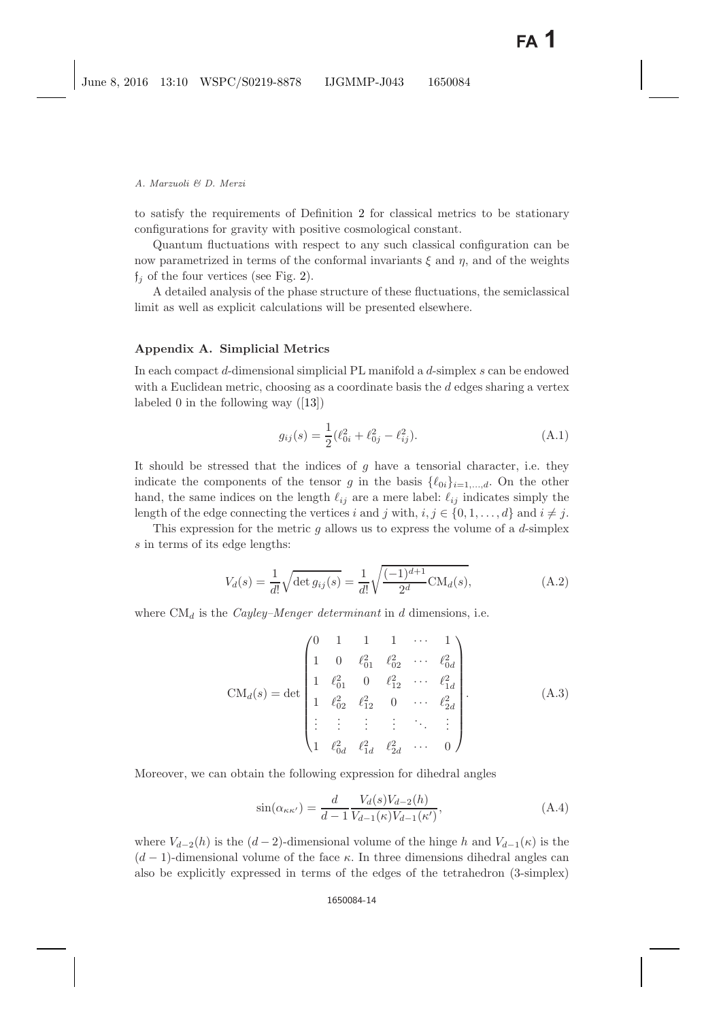to satisfy the requirements of Definition [2](#page-4-2) for classical metrics to be stationary configurations for gravity with positive cosmological constant.

Quantum fluctuations with respect to any such classical configuration can be now parametrized in terms of the conformal invariants  $\xi$  and  $\eta$ , and of the weights  $f_i$  of the four vertices (see Fig. [2\)](#page-10-1).

A detailed analysis of the phase structure of these fluctuations, the semiclassical limit as well as explicit calculations will be presented elsewhere.

### **Appendix A. Simplicial Metrics**

In each compact d-dimensional simplicial PL manifold a d-simplex s can be endowed with a Euclidean metric, choosing as a coordinate basis the  $d$  edges sharing a vertex labeled 0 in the following way ([\[13\]](#page-15-18))

$$
g_{ij}(s) = \frac{1}{2}(\ell_{0i}^2 + \ell_{0j}^2 - \ell_{ij}^2). \tag{A.1}
$$

It should be stressed that the indices of  $g$  have a tensorial character, i.e. they indicate the components of the tensor g in the basis  $\{\ell_{0i}\}_{i=1,\dots,d}$ . On the other hand, the same indices on the length  $\ell_{ij}$  are a mere label:  $\ell_{ij}$  indicates simply the length of the edge connecting the vertices i and j with,  $i, j \in \{0, 1, \ldots, d\}$  and  $i \neq j$ .

This expression for the metric  $g$  allows us to express the volume of a  $d$ -simplex s in terms of its edge lengths:

$$
V_d(s) = \frac{1}{d!} \sqrt{\det g_{ij}(s)} = \frac{1}{d!} \sqrt{\frac{(-1)^{d+1}}{2^d} \text{CM}_d(s)},
$$
(A.2)

<span id="page-13-0"></span>where  $CM_d$  is the *Cayley–Menger determinant* in d dimensions, i.e.

$$
CM_d(s) = det \begin{pmatrix} 0 & 1 & 1 & 1 & \cdots & 1 \\ 1 & 0 & \ell_{01}^2 & \ell_{02}^2 & \cdots & \ell_{0d}^2 \\ 1 & \ell_{01}^2 & 0 & \ell_{12}^2 & \cdots & \ell_{1d}^2 \\ 1 & \ell_{02}^2 & \ell_{12}^2 & 0 & \cdots & \ell_{2d}^2 \\ \vdots & \vdots & \vdots & \vdots & \ddots & \vdots \\ 1 & \ell_{0d}^2 & \ell_{1d}^2 & \ell_{2d}^2 & \cdots & 0 \end{pmatrix} .
$$
 (A.3)

Moreover, we can obtain the following expression for dihedral angles

$$
\sin(\alpha_{\kappa\kappa'}) = \frac{d}{d-1} \frac{V_d(s)V_{d-2}(h)}{V_{d-1}(\kappa)V_{d-1}(\kappa')},\tag{A.4}
$$

where  $V_{d-2}(h)$  is the  $(d-2)$ -dimensional volume of the hinge h and  $V_{d-1}(\kappa)$  is the  $(d-1)$ -dimensional volume of the face  $\kappa$ . In three dimensions dihedral angles can also be explicitly expressed in terms of the edges of the tetrahedron (3-simplex)

#### 1650084-14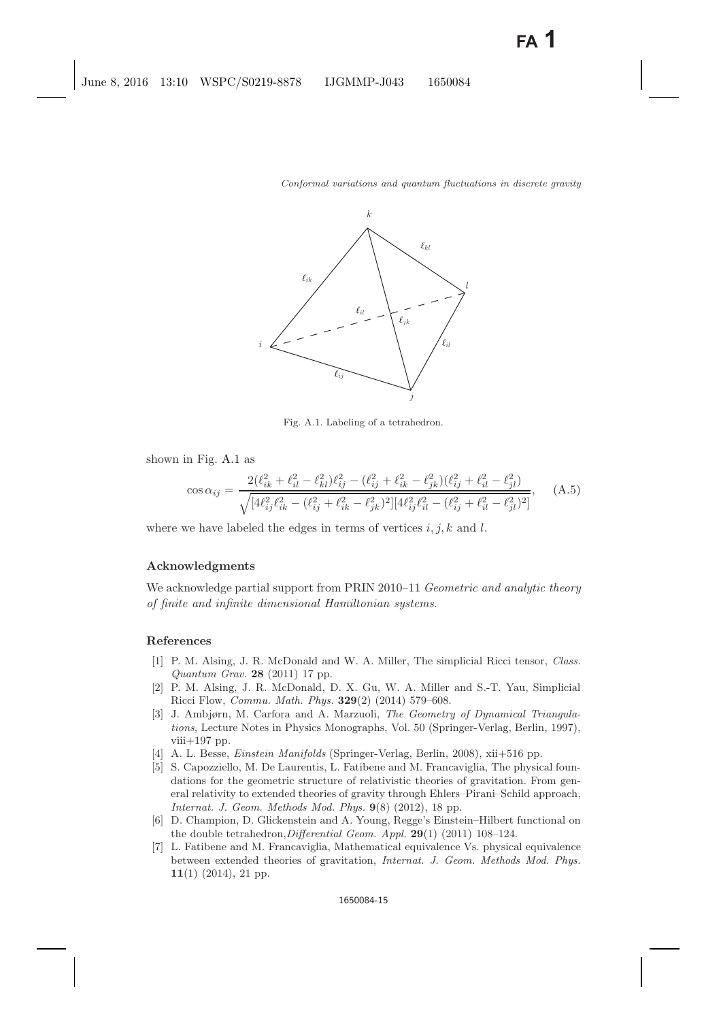

<span id="page-14-8"></span>Fig. A.1. Labeling of a tetrahedron.

shown in Fig. [A.1](#page-14-8) as

$$
\cos \alpha_{ij} = \frac{2(\ell_{ik}^2 + \ell_{il}^2 - \ell_{kl}^2)\ell_{ij}^2 - (\ell_{ij}^2 + \ell_{ik}^2 - \ell_{jk}^2)(\ell_{ij}^2 + \ell_{il}^2 - \ell_{jl}^2)}{\sqrt{[4\ell_{ij}^2 \ell_{ik}^2 - (\ell_{ij}^2 + \ell_{ik}^2 - \ell_{jk}^2)^2][4\ell_{ij}^2 \ell_{il}^2 - (\ell_{ij}^2 + \ell_{il}^2 - \ell_{jl}^2)^2]}}\,,\tag{A.5}
$$

where we have labeled the edges in terms of vertices  $i, j, k$  and l.

### **Acknowledgments**

We acknowledge partial support from PRIN 2010–11 *Geometric and analytic theory of finite and infinite dimensional Hamiltonian systems*.

#### <span id="page-14-3"></span><span id="page-14-0"></span>**References**

- [1] P. M. Alsing, J. R. McDonald and W. A. Miller, The simplicial Ricci tensor, Class. Quantum Grav. **28** (2011) 17 pp.
- <span id="page-14-4"></span>[2] P. M. Alsing, J. R. McDonald, D. X. Gu, W. A. Miller and S.-T. Yau, Simplicial Ricci Flow, Commu. Math. Phys. **329**(2) (2014) 579–608.
- <span id="page-14-5"></span>[3] J. Ambjørn, M. Carfora and A. Marzuoli, The Geometry of Dynamical Triangulations, Lecture Notes in Physics Monographs, Vol. 50 (Springer-Verlag, Berlin, 1997),  $viii+197$  pp.
- <span id="page-14-6"></span>[4] A. L. Besse, Einstein Manifolds (Springer-Verlag, Berlin, 2008), xii+516 pp.
- <span id="page-14-1"></span>[5] S. Capozziello, M. De Laurentis, L. Fatibene and M. Francaviglia, The physical foundations for the geometric structure of relativistic theories of gravitation. From general relativity to extended theories of gravity through Ehlers–Pirani–Schild approach, Internat. J. Geom. Methods Mod. Phys. **9**(8) (2012), 18 pp.
- <span id="page-14-9"></span><span id="page-14-7"></span>[6] D. Champion, D. Glickenstein and A. Young, Regge's Einstein–Hilbert functional on the double tetrahedron,Differential Geom. Appl. **29**(1) (2011) 108–124.
- <span id="page-14-2"></span>[7] L. Fatibene and M. Francaviglia, Mathematical equivalence Vs. physical equivalence between extended theories of gravitation, Internat. J. Geom. Methods Mod. Phys. **11**(1) (2014), 21 pp.